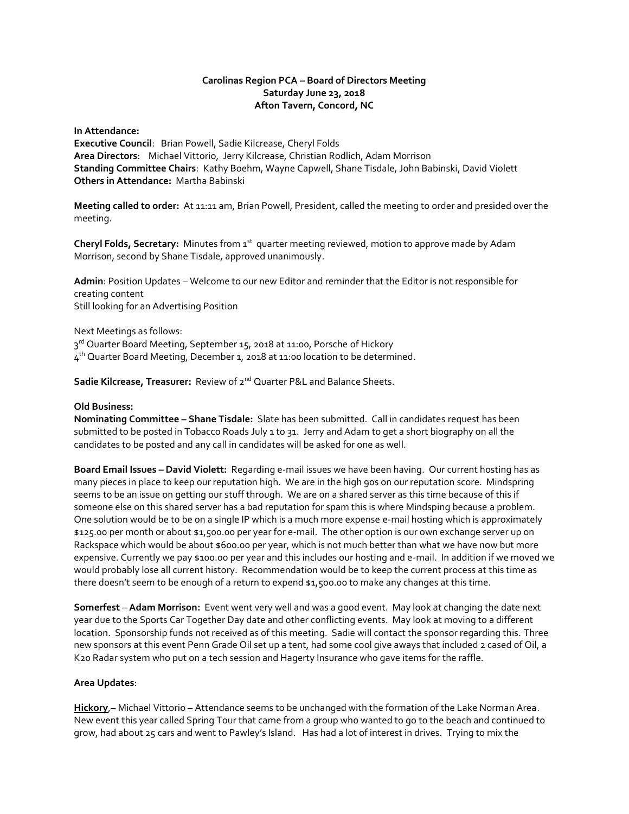# **Carolinas Region PCA – Board of Directors Meeting Saturday June 23, 2018 Afton Tavern, Concord, NC**

**In Attendance:** 

**Executive Council**: Brian Powell, Sadie Kilcrease, Cheryl Folds **Area Directors**: Michael Vittorio, Jerry Kilcrease, Christian Rodlich, Adam Morrison **Standing Committee Chairs**: Kathy Boehm, Wayne Capwell, Shane Tisdale, John Babinski, David Violett **Others in Attendance:** Martha Babinski

**Meeting called to order:** At 11:11 am, Brian Powell, President, called the meeting to order and presided over the meeting.

Cheryl Folds, Secretary: Minutes from 1<sup>st</sup> quarter meeting reviewed, motion to approve made by Adam Morrison, second by Shane Tisdale, approved unanimously.

**Admin**: Position Updates – Welcome to our new Editor and reminder that the Editor is not responsible for creating content Still looking for an Advertising Position

Next Meetings as follows:

3<sup>rd</sup> Quarter Board Meeting, September 15, 2018 at 11:00, Porsche of Hickory

4<sup>th</sup> Quarter Board Meeting, December 1, 2018 at 11:00 location to be determined.

**Sadie Kilcrease, Treasurer:** Review of 2nd Quarter P&L and Balance Sheets.

## **Old Business:**

**Nominating Committee – Shane Tisdale:** Slate has been submitted. Call in candidates request has been submitted to be posted in Tobacco Roads July 1 to 31. Jerry and Adam to get a short biography on all the candidates to be posted and any call in candidates will be asked for one as well.

**Board Email Issues – David Violett:** Regarding e-mail issues we have been having. Our current hosting has as many pieces in place to keep our reputation high. We are in the high 90s on our reputation score. Mindspring seems to be an issue on getting our stuff through. We are on a shared server as this time because of this if someone else on this shared server has a bad reputation for spam this is where Mindsping because a problem. One solution would be to be on a single IP which is a much more expense e-mail hosting which is approximately \$125.00 per month or about \$1,500.00 per year for e-mail. The other option is our own exchange server up on Rackspace which would be about \$600.00 per year, which is not much better than what we have now but more expensive. Currently we pay \$100.00 per year and this includes our hosting and e-mail. In addition if we moved we would probably lose all current history. Recommendation would be to keep the current process at this time as there doesn't seem to be enough of a return to expend \$1,500.00 to make any changes at this time.

**Somerfest** – **Adam Morrison:** Event went very well and was a good event. May look at changing the date next year due to the Sports Car Together Day date and other conflicting events. May look at moving to a different location. Sponsorship funds not received as of this meeting. Sadie will contact the sponsor regarding this. Three new sponsors at this event Penn Grade Oil set up a tent, had some cool give aways that included 2 cased of Oil, a K20 Radar system who put on a tech session and Hagerty Insurance who gave items for the raffle.

#### **Area Updates**:

**Hickory**,– Michael Vittorio – Attendance seems to be unchanged with the formation of the Lake Norman Area. New event this year called Spring Tour that came from a group who wanted to go to the beach and continued to grow, had about 25 cars and went to Pawley's Island. Has had a lot of interest in drives. Trying to mix the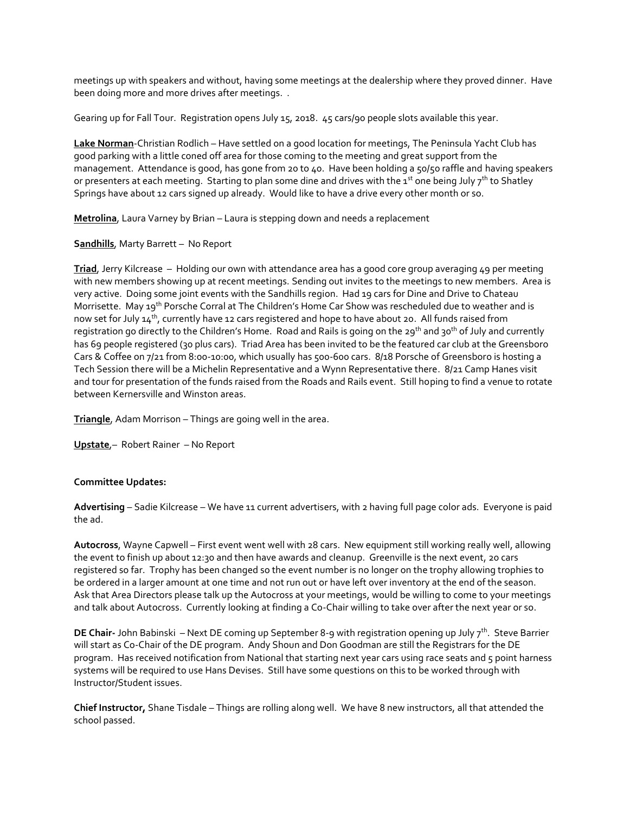meetings up with speakers and without, having some meetings at the dealership where they proved dinner. Have been doing more and more drives after meetings. .

Gearing up for Fall Tour. Registration opens July 15, 2018. 45 cars/90 people slots available this year.

**Lake Norman**-Christian Rodlich – Have settled on a good location for meetings, The Peninsula Yacht Club has good parking with a little coned off area for those coming to the meeting and great support from the management. Attendance is good, has gone from 20 to 40. Have been holding a 50/50 raffle and having speakers or presenters at each meeting. Starting to plan some dine and drives with the 1<sup>st</sup> one being July 7<sup>th</sup> to Shatley Springs have about 12 cars signed up already. Would like to have a drive every other month or so.

**Metrolina**, Laura Varney by Brian – Laura is stepping down and needs a replacement

**Sandhills**, Marty Barrett – No Report

**Triad**, Jerry Kilcrease – Holding our own with attendance area has a good core group averaging 49 per meeting with new members showing up at recent meetings. Sending out invites to the meetings to new members. Area is very active. Doing some joint events with the Sandhills region. Had 19 cars for Dine and Drive to Chateau Morrisette. May 19<sup>th</sup> Porsche Corral at The Children's Home Car Show was rescheduled due to weather and is now set for July 14<sup>th</sup>, currently have 12 cars registered and hope to have about 20. All funds raised from registration go directly to the Children's Home. Road and Rails is going on the 29<sup>th</sup> and 30<sup>th</sup> of July and currently has 69 people registered (30 plus cars). Triad Area has been invited to be the featured car club at the Greensboro Cars & Coffee on 7/21 from 8:00-10:00, which usually has 500-600 cars. 8/18 Porsche of Greensboro is hosting a Tech Session there will be a Michelin Representative and a Wynn Representative there. 8/21 Camp Hanes visit and tour for presentation of the funds raised from the Roads and Rails event. Still hoping to find a venue to rotate between Kernersville and Winston areas.

**Triangle**, Adam Morrison – Things are going well in the area.

**Upstate**,– Robert Rainer – No Report

#### **Committee Updates:**

**Advertising** – Sadie Kilcrease – We have 11 current advertisers, with 2 having full page color ads. Everyone is paid the ad.

**Autocross**, Wayne Capwell – First event went well with 28 cars. New equipment still working really well, allowing the event to finish up about 12:30 and then have awards and cleanup. Greenville is the next event, 20 cars registered so far. Trophy has been changed so the event number is no longer on the trophy allowing trophies to be ordered in a larger amount at one time and not run out or have left over inventory at the end of the season. Ask that Area Directors please talk up the Autocross at your meetings, would be willing to come to your meetings and talk about Autocross. Currently looking at finding a Co-Chair willing to take over after the next year or so.

**DE Chair-** John Babinski – Next DE coming up September 8-9 with registration opening up July 7<sup>th</sup>. Steve Barrier will start as Co-Chair of the DE program. Andy Shoun and Don Goodman are still the Registrars for the DE program. Has received notification from National that starting next year cars using race seats and 5 point harness systems will be required to use Hans Devises. Still have some questions on this to be worked through with Instructor/Student issues.

**Chief Instructor,** Shane Tisdale – Things are rolling along well. We have 8 new instructors, all that attended the school passed.